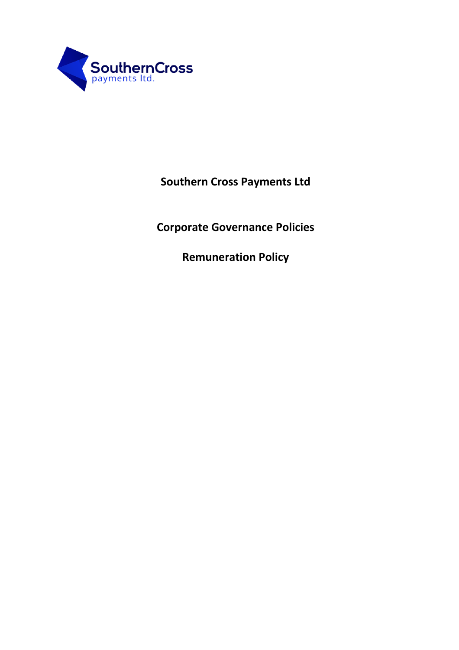

**Southern Cross Payments Ltd**

**Corporate Governance Policies**

**Remuneration Policy**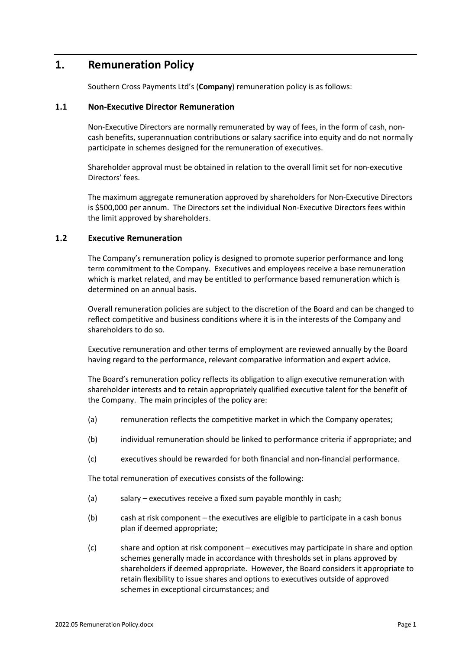## **1. Remuneration Policy**

Southern Cross Payments Ltd's (**Company**) remuneration policy is as follows:

## **1.1 Non-Executive Director Remuneration**

Non-Executive Directors are normally remunerated by way of fees, in the form of cash, noncash benefits, superannuation contributions or salary sacrifice into equity and do not normally participate in schemes designed for the remuneration of executives.

Shareholder approval must be obtained in relation to the overall limit set for non-executive Directors' fees.

The maximum aggregate remuneration approved by shareholders for Non-Executive Directors is \$500,000 per annum. The Directors set the individual Non-Executive Directors fees within the limit approved by shareholders.

## **1.2 Executive Remuneration**

The Company's remuneration policy is designed to promote superior performance and long term commitment to the Company. Executives and employees receive a base remuneration which is market related, and may be entitled to performance based remuneration which is determined on an annual basis.

Overall remuneration policies are subject to the discretion of the Board and can be changed to reflect competitive and business conditions where it is in the interests of the Company and shareholders to do so.

Executive remuneration and other terms of employment are reviewed annually by the Board having regard to the performance, relevant comparative information and expert advice.

The Board's remuneration policy reflects its obligation to align executive remuneration with shareholder interests and to retain appropriately qualified executive talent for the benefit of the Company. The main principles of the policy are:

- (a) remuneration reflects the competitive market in which the Company operates;
- (b) individual remuneration should be linked to performance criteria if appropriate; and
- (c) executives should be rewarded for both financial and non-financial performance.

The total remuneration of executives consists of the following:

- (a) salary executives receive a fixed sum payable monthly in cash;
- (b) cash at risk component the executives are eligible to participate in a cash bonus plan if deemed appropriate;
- (c) share and option at risk component executives may participate in share and option schemes generally made in accordance with thresholds set in plans approved by shareholders if deemed appropriate. However, the Board considers it appropriate to retain flexibility to issue shares and options to executives outside of approved schemes in exceptional circumstances; and